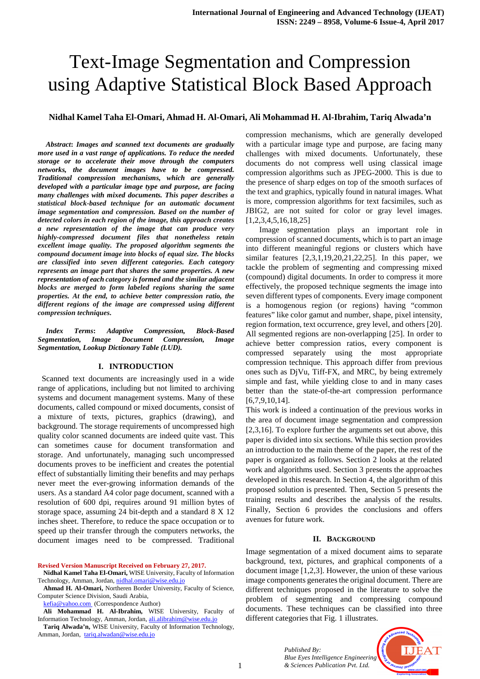# Text-Image Segmentation and Compression using Adaptive Statistical Block Based Approach

#### **Nidhal Kamel Taha El-Omari, Ahmad H. Al-Omari, Ali Mohammad H. Al-Ibrahim, Tariq Alwada'n**

*Abstract***:** *Images and scanned text documents are gradually more used in a vast range of applications. To reduce the needed storage or to accelerate their move through the computers networks, the document images have to be compressed. Traditional compression mechanisms, which are generally developed with a particular image type and purpose, are facing many challenges with mixed documents. This paper describes a statistical block-based technique for an automatic document image segmentation and compression. Based on the number of detected colors in each region of the image, this approach creates a new representation of the image that can produce very highly-compressed document files that nonetheless retain excellent image quality. The proposed algorithm segments the compound document image into blocks of equal size. The blocks are classified into seven different categories. Each category represents an image part that shares the same properties. A new representation of each category is formed and the similar adjacent blocks are merged to form labeled regions sharing the same properties. At the end, to achieve better compression ratio, the different regions of the image are compressed using different compression techniques***.**

*Index Terms***:** *Adaptive Compression, Block-Based Segmentation, Image Document Compression, Image Segmentation, Lookup Dictionary Table (LUD).* 

#### **I. INTRODUCTION**

 Scanned text documents are increasingly used in a wide range of applications, including but not limited to archiving systems and document management systems. Many of these documents, called compound or mixed documents, consist of a mixture of texts, pictures, graphics (drawing), and background. The storage requirements of uncompressed high quality color scanned documents are indeed quite vast. This can sometimes cause for document transformation and storage. And unfortunately, managing such uncompressed documents proves to be inefficient and creates the potential effect of substantially limiting their benefits and may perhaps never meet the ever-growing information demands of the users. As a standard A4 color page document, scanned with a resolution of 600 dpi, requires around 91 million bytes of storage space, assuming 24 bit-depth and a standard 8 X 12 inches sheet. Therefore, to reduce the space occupation or to speed up their transfer through the computers networks, the document images need to be compressed. Traditional

**Revised Version Manuscript Received on February 27, 2017.**

**Ahmad H. Al-Omari,** Northeren Border University, Faculty of Science, Computer Science Division, Saudi Arabia,

kefia@yahoo.com (Correspondence Author)

compression mechanisms, which are generally developed with a particular image type and purpose, are facing many challenges with mixed documents. Unfortunately, these documents do not compress well using classical image compression algorithms such as JPEG-2000. This is due to the presence of sharp edges on top of the smooth surfaces of the text and graphics, typically found in natural images. What is more, compression algorithms for text facsimiles, such as JBIG2, are not suited for color or gray level images. [1,2,3,4,5,16,18,25]

 Image segmentation plays an important role in compression of scanned documents, which is to part an image into different meaningful regions or clusters which have similar features [2,3,1,19,20,21,22,25]. In this paper, we tackle the problem of segmenting and compressing mixed (compound) digital documents. In order to compress it more effectively, the proposed technique segments the image into seven different types of components. Every image component is a homogenous region (or regions) having "common features" like color gamut and number, shape, pixel intensity, region formation, text occurrence, grey level, and others [20]. All segmented regions are non-overlapping [25]. In order to achieve better compression ratios, every component is compressed separately using the most appropriate compression technique. This approach differ from previous ones such as DjVu, Tiff-FX, and MRC, by being extremely simple and fast, while yielding close to and in many cases better than the state-of-the-art compression performance [6,7,9,10,14].

This work is indeed a continuation of the previous works in the area of document image segmentation and compression [2,3,16]. To explore further the arguments set out above, this paper is divided into six sections. While this section provides an introduction to the main theme of the paper, the rest of the paper is organized as follows. Section 2 looks at the related work and algorithms used. Section 3 presents the approaches developed in this research. In Section 4, the algorithm of this proposed solution is presented. Then, Section 5 presents the training results and describes the analysis of the results. Finally, Section 6 provides the conclusions and offers avenues for future work.

#### **II. BACKGROUND**

Image segmentation of a mixed document aims to separate background, text, pictures, and graphical components of a document image [1,2,3]. However, the union of these various image components generates the original document. There are different techniques proposed in the literature to solve the problem of segmenting and compressing compound documents. These techniques can be classified into three different categories that Fig. 1 illustrates.



**Nidhal Kamel Taha El-Omari,** WISE University, Faculty of Information Technology, Amman, Jordan, nidhal.omari@wise.edu.jo

**Ali Mohammad H. Al-Ibrahim,** WISE University, Faculty of Information Technology, Amman, Jordan, ali.alibrahim@wise.edu.jo

**Tariq Alwada'n,** WISE University, Faculty of Information Technology, Amman, Jordan, tariq.alwadan@wise.edu.jo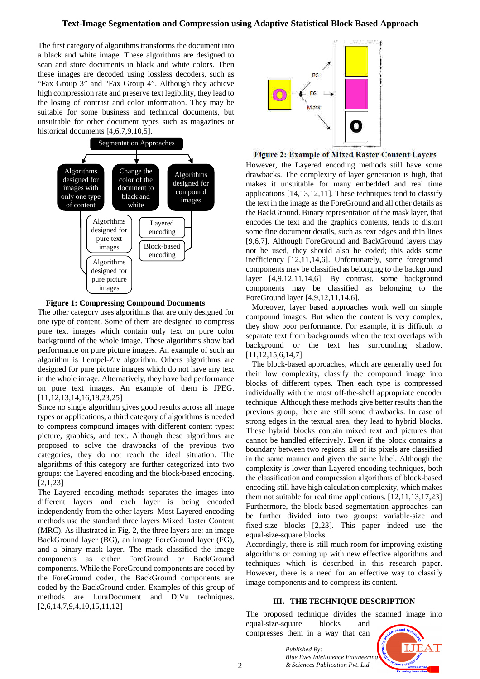The first category of algorithms transforms the document into a black and white image. These algorithms are designed to scan and store documents in black and white colors. Then these images are decoded using lossless decoders, such as "Fax Group 3" and "Fax Group 4". Although they achieve high compression rate and preserve text legibility, they lead to the losing of contrast and color information. They may be suitable for some business and technical documents, but unsuitable for other document types such as magazines or historical documents [4,6,7,9,10,5].





The other category uses algorithms that are only designed for one type of content. Some of them are designed to compress pure text images which contain only text on pure color background of the whole image. These algorithms show bad performance on pure picture images. An example of such an algorithm is Lempel-Ziv algorithm. Others algorithms are designed for pure picture images which do not have any text in the whole image. Alternatively, they have bad performance on pure text images. An example of them is JPEG. [11,12,13,14,16,18,23,25]

Since no single algorithm gives good results across all image types or applications, a third category of algorithms is needed to compress compound images with different content types: picture, graphics, and text. Although these algorithms are proposed to solve the drawbacks of the previous two categories, they do not reach the ideal situation. The algorithms of this category are further categorized into two groups: the Layered encoding and the block-based encoding. [2,1,23]

The Layered encoding methods separates the images into different layers and each layer is being encoded independently from the other layers. Most Layered encoding methods use the standard three layers Mixed Raster Content (MRC). As illustrated in Fig. 2, the three layers are: an image BackGround layer (BG), an image ForeGround layer (FG), and a binary mask layer. The mask classified the image components as either ForeGround or BackGround components. While the ForeGround components are coded by the ForeGround coder, the BackGround components are coded by the BackGround coder. Examples of this group of methods are LuraDocument and DjVu techniques. [2,6,14,7,9,4,10,15,11,12]



Figure 2: Example of Mixed Raster Content Layers

However, the Layered encoding methods still have some drawbacks. The complexity of layer generation is high, that makes it unsuitable for many embedded and real time applications [14,13,12,11]. These techniques tend to classify the text in the image as the ForeGround and all other details as the BackGround. Binary representation of the mask layer, that encodes the text and the graphics contents, tends to distort some fine document details, such as text edges and thin lines [9,6,7]. Although ForeGround and BackGround layers may not be used, they should also be coded; this adds some inefficiency [12,11,14,6]. Unfortunately, some foreground components may be classified as belonging to the background layer [4,9,12,11,14,6]. By contrast, some background components may be classified as belonging to the ForeGround layer [4,9,12,11,14,6].

 Moreover, layer based approaches work well on simple compound images. But when the content is very complex, they show poor performance. For example, it is difficult to separate text from backgrounds when the text overlaps with background or the text has surrounding shadow. [11,12,15,6,14,7]

 The block-based approaches, which are generally used for their low complexity, classify the compound image into blocks of different types. Then each type is compressed individually with the most off-the-shelf appropriate encoder technique. Although these methods give better results than the previous group, there are still some drawbacks. In case of strong edges in the textual area, they lead to hybrid blocks. These hybrid blocks contain mixed text and pictures that cannot be handled effectively. Even if the block contains a boundary between two regions, all of its pixels are classified in the same manner and given the same label. Although the complexity is lower than Layered encoding techniques, both the classification and compression algorithms of block-based encoding still have high calculation complexity, which makes them not suitable for real time applications. [12,11,13,17,23] Furthermore, the block-based segmentation approaches can be further divided into two groups: variable-size and fixed-size blocks [2,23]. This paper indeed use the equal-size-square blocks.

Accordingly, there is still much room for improving existing algorithms or coming up with new effective algorithms and techniques which is described in this research paper. However, there is a need for an effective way to classify image components and to compress its content.

## **III. THE TECHNIQUE DESCRIPTION**

The proposed technique divides the scanned image into equal-size-square blocks and compresses them in a way that can

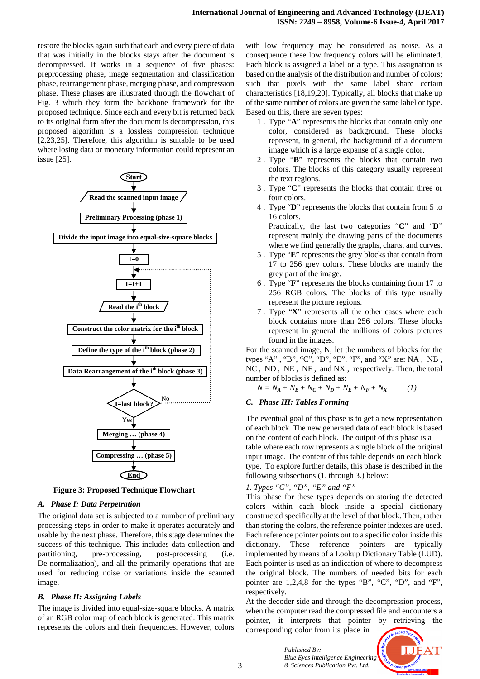restore the blocks again such that each and every piece of data that was initially in the blocks stays after the document is decompressed. It works in a sequence of five phases: preprocessing phase, image segmentation and classification phase, rearrangement phase, merging phase, and compression phase. These phases are illustrated through the flowchart of Fig. 3 which they form the backbone framework for the proposed technique. Since each and every bit is returned back to its original form after the document is decompression, this proposed algorithm is a lossless compression technique [2,23,25]. Therefore, this algorithm is suitable to be used where losing data or monetary information could represent an issue [25].



**Figure 3: Proposed Technique Flowchart**

#### *A. Phase I: Data Perpetration*

The original data set is subjected to a number of preliminary processing steps in order to make it operates accurately and usable by the next phase. Therefore, this stage determines the success of this technique. This includes data collection and partitioning, pre-processing, post-processing (i.e. De-normalization), and all the primarily operations that are used for reducing noise or variations inside the scanned image.

## *B. Phase II: Assigning Labels*

The image is divided into equal-size-square blocks. A matrix of an RGB color map of each block is generated. This matrix represents the colors and their frequencies. However, colors

with low frequency may be considered as noise. As a consequence these low frequency colors will be eliminated. Each block is assigned a label or a type. This assignation is based on the analysis of the distribution and number of colors; such that pixels with the same label share certain characteristics [18,19,20]. Typically, all blocks that make up of the same number of colors are given the same label or type. Based on this, there are seven types:

- 1 . Type "**A**" represents the blocks that contain only one color, considered as background. These blocks represent, in general, the background of a document image which is a large expanse of a single color.
- 2 . Type "**B**" represents the blocks that contain two colors. The blocks of this category usually represent the text regions.
- 3 . Type "**C**" represents the blocks that contain three or four colors.
- 4 . Type "**D**" represents the blocks that contain from 5 to 16 colors.

Practically, the last two categories "**C**" and "**D**" represent mainly the drawing parts of the documents where we find generally the graphs, charts, and curves.

- 5 . Type "**E**" represents the grey blocks that contain from 17 to 256 grey colors. These blocks are mainly the grey part of the image.
- 6 . Type "**F**" represents the blocks containing from 17 to 256 RGB colors. The blocks of this type usually represent the picture regions.
- 7 . Type "**X**" represents all the other cases where each block contains more than 256 colors. These blocks represent in general the millions of colors pictures found in the images.

For the scanned image, N, let the numbers of blocks for the types "A" , "B", "C", "D", "E", "F", and "X" are: NA , NB , NC , ND , NE , NF , and NX , respectively. Then, the total number of blocks is defined as:

 $N = N_A + N_B + N_C + N_D + N_E + N_F + N_X$  (1)

## *C. Phase III: Tables Forming*

The eventual goal of this phase is to get a new representation of each block. The new generated data of each block is based on the content of each block. The output of this phase is a table where each row represents a single block of the original input image. The content of this table depends on each block type. To explore further details, this phase is described in the following subsections (1. through 3.) below:

## *1. Types "C", "D", "E" and "F"*

This phase for these types depends on storing the detected colors within each block inside a special dictionary constructed specifically at the level of that block. Then, rather than storing the colors, the reference pointer indexes are used. Each reference pointer points out to a specific color inside this dictionary. These reference pointers are typically implemented by means of a Lookup Dictionary Table (LUD). Each pointer is used as an indication of where to decompress the original block. The numbers of needed bits for each pointer are 1,2,4,8 for the types "B", "C", "D", and "F", respectively.

At the decoder side and through the decompression process, when the computer read the compressed file and encounters a pointer, it interprets that pointer by retrieving the corresponding color from its place in

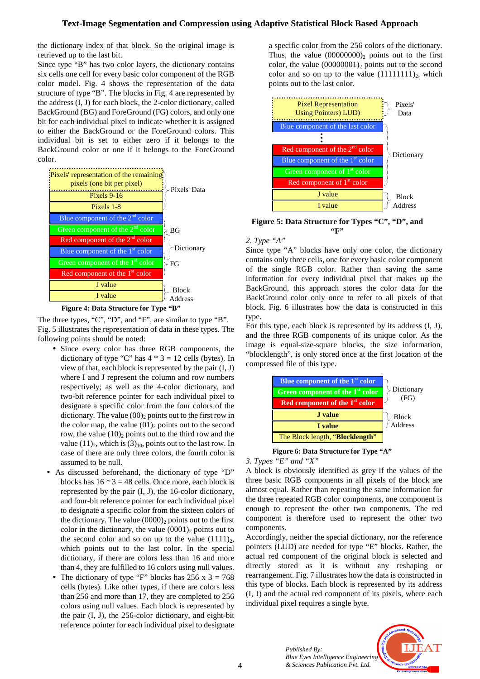## **Text-Image Segmentation and Compression using Adaptive Statistical Block Based Approach**

the dictionary index of that block. So the original image is retrieved up to the last bit.

Since type "B" has two color layers, the dictionary contains six cells one cell for every basic color component of the RGB color model. Fig. 4 shows the representation of the data structure of type "B". The blocks in Fig. 4 are represented by the address (I, J) for each block, the 2-color dictionary, called BackGround (BG) and ForeGround (FG) colors, and only one bit for each individual pixel to indicate whether it is assigned to either the BackGround or the ForeGround colors. This individual bit is set to either zero if it belongs to the BackGround color or one if it belongs to the ForeGround color.





The three types, "C", "D", and "F", are similar to type "B". Fig. 5 illustrates the representation of data in these types. The following points should be noted:

- Since every color has three RGB components, the dictionary of type "C" has  $4 * 3 = 12$  cells (bytes). In view of that, each block is represented by the pair (I, J) where I and J represent the column and row numbers respectively; as well as the 4-color dictionary, and two-bit reference pointer for each individual pixel to designate a specific color from the four colors of the dictionary. The value  $(00)_2$  points out to the first row in the color map, the value  $(01)_2$  points out to the second row, the value  $(10)_2$  points out to the third row and the value  $(11)_2$ , which is  $(3)_{10}$ , points out to the last row. In case of there are only three colors, the fourth color is assumed to be null.
- As discussed beforehand, the dictionary of type "D" blocks has  $16 * 3 = 48$  cells. Once more, each block is represented by the pair (I, J), the 16-color dictionary, and four-bit reference pointer for each individual pixel to designate a specific color from the sixteen colors of the dictionary. The value  $(0000)$  points out to the first color in the dictionary, the value  $(0001)_2$  points out to the second color and so on up to the value  $(1111)_2$ , which points out to the last color. In the special dictionary, if there are colors less than 16 and more than 4, they are fulfilled to 16 colors using null values.
- The dictionary of type "F" blocks has  $256 \times 3 = 768$ cells (bytes). Like other types, if there are colors less than 256 and more than 17, they are completed to 256 colors using null values. Each block is represented by the pair (I, J), the 256-color dictionary, and eight-bit reference pointer for each individual pixel to designate

a specific color from the 256 colors of the dictionary. Thus, the value  $(00000000)_2$  points out to the first color, the value  $(00000001)_2$  points out to the second color and so on up to the value  $(11111111)_2$ , which points out to the last color.



**Figure 5: Data Structure for Types "C", "D", and "F"**

#### *2. Type "A"*

Since type "A" blocks have only one color, the dictionary contains only three cells, one for every basic color component of the single RGB color. Rather than saving the same information for every individual pixel that makes up the BackGround, this approach stores the color data for the BackGround color only once to refer to all pixels of that block. Fig. 6 illustrates how the data is constructed in this type.

For this type, each block is represented by its address (I, J), and the three RGB components of its unique color. As the image is equal-size-square blocks, the size information, "blocklength", is only stored once at the first location of the compressed file of this type.



**Figure 6: Data Structure for Type "A"** 

#### *3. Types "E" and "X"*

A block is obviously identified as grey if the values of the three basic RGB components in all pixels of the block are almost equal. Rather than repeating the same information for the three repeated RGB color components, one component is enough to represent the other two components. The red component is therefore used to represent the other two components.

Accordingly, neither the special dictionary, nor the reference pointers (LUD) are needed for type "E" blocks. Rather, the actual red component of the original block is selected and directly stored as it is without any reshaping or rearrangement. Fig. 7 illustrates how the data is constructed in this type of blocks. Each block is represented by its address (I, J) and the actual red component of its pixels, where each individual pixel requires a single byte.

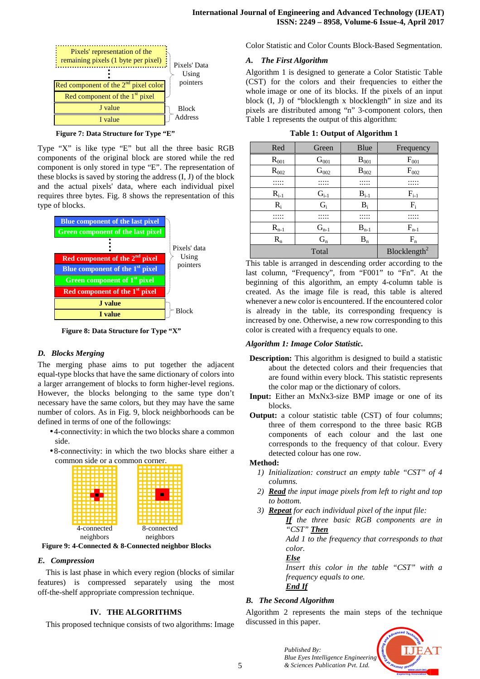

**Figure 7: Data Structure for Type "E"** 

Type "X" is like type "E" but all the three basic RGB components of the original block are stored while the red component is only stored in type "E". The representation of these blocks is saved by storing the address (I, J) of the block and the actual pixels' data, where each individual pixel requires three bytes. Fig. 8 shows the representation of this type of blocks.



**Figure 8: Data Structure for Type "X"** 

## *D. Blocks Merging*

The merging phase aims to put together the adjacent equal-type blocks that have the same dictionary of colors into a larger arrangement of blocks to form higher-level regions. However, the blocks belonging to the same type don't necessary have the same colors, but they may have the same number of colors. As in Fig. 9, block neighborhoods can be defined in terms of one of the followings:

- 4-connectivity: in which the two blocks share a common side.
- 8-connectivity: in which the two blocks share either a common side or a common corner.



**Figure 9: 4-Connected & 8-Connected neighbor Blocks**

## *E. Compression*

This is last phase in which every region (blocks of similar features) is compressed separately using the most off-the-shelf appropriate compression technique.

## **IV. THE ALGORITHMS**

This proposed technique consists of two algorithms: Image

Color Statistic and Color Counts Block-Based Segmentation.

#### *A. The First Algorithm*

Algorithm 1 is designed to generate a Color Statistic Table (CST) for the colors and their frequencies to either the whole image or one of its blocks. If the pixels of an input block (I, J) of "blocklength x blocklength" in size and its pixels are distributed among "n" 3-component colors, then Table 1 represents the output of this algorithm:

**Table 1: Output of Algorithm 1** 

| Red       | Green            | Blue         | Frequency                |
|-----------|------------------|--------------|--------------------------|
| $R_{001}$ | G <sub>001</sub> | $B_{001}$    | $F_{001}$                |
| $R_{002}$ | G <sub>002</sub> | $B_{002}$    | $F_{002}$                |
|           | .<br>.           | .<br>.       | .                        |
| $R_{i-1}$ | $G_{i-1}$        | $B_{i-1}$    | $F_{i-1}$                |
| $R_i$     | $G_i$            | $B_i$        | $F_i$                    |
| .         | .                | $\dots$<br>. | .                        |
| $R_{n-1}$ | $G_{n-1}$        | $B_{n-1}$    | $F_{n-1}$                |
| $R_{n}$   | $G_n$            | $B_n$        | $F_n$                    |
|           | Total            |              | Blocklength <sup>2</sup> |

This table is arranged in descending order according to the last column, "Frequency", from "F001" to "Fn". At the beginning of this algorithm, an empty 4-column table is created. As the image file is read, this table is altered whenever a new color is encountered. If the encountered color is already in the table, its corresponding frequency is increased by one. Otherwise, a new row corresponding to this color is created with a frequency equals to one.

## *Algorithm 1: Image Color Statistic.*

- **Description:** This algorithm is designed to build a statistic about the detected colors and their frequencies that are found within every block. This statistic represents the color map or the dictionary of colors.
- **Input:** Either an MxNx3-size BMP image or one of its blocks.
- **Output:** a colour statistic table (CST) of four columns; three of them correspond to the three basic RGB components of each colour and the last one corresponds to the frequency of that colour. Every detected colour has one row.

## **Method:**

- *1) Initialization: construct an empty table "CST" of 4 columns.*
- *2) Read the input image pixels from left to right and top to bottom.*
- *3) Repeat for each individual pixel of the input file:*

*If the three basic RGB components are in "CST" Then* 

*Add 1 to the frequency that corresponds to that color.* 

*Else* 

*Insert this color in the table "CST" with a frequency equals to one. End If*

# *B. The Second Algorithm*

*Published By:* 

Algorithm 2 represents the main steps of the technique discussed in this paper.

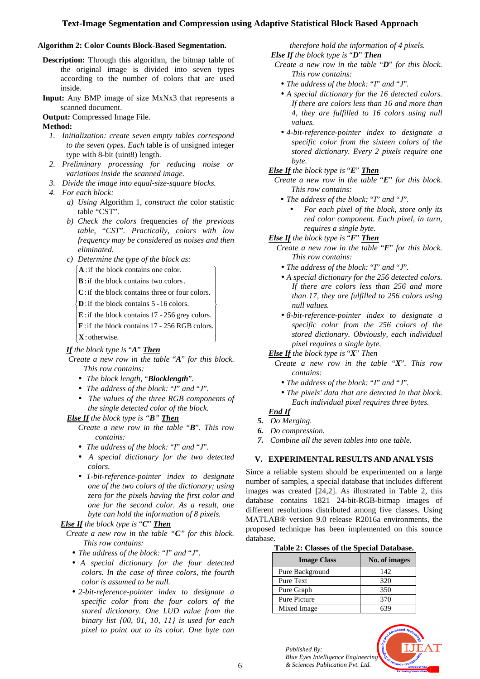# **Algorithm 2: Color Counts Block-Based Segmentation.**

- **Description:** Through this algorithm, the bitmap table of the original image is divided into seven types according to the number of colors that are used inside.
- **Input:** Any BMP image of size MxNx3 that represents a scanned document.

# **Output:** Compressed Image File.

# **Method:**

- *1. Initialization: create seven empty tables correspond to the seven types. Each* table is of unsigned integer type with 8-bit (uint8) length.
- *2. Preliminary processing for reducing noise or variations inside the scanned image.*
- *3. Divide the image into equal-size-square blocks.*
- *4. For each block:* 
	- *a) Using* Algorithm 1, *construct the* color statistic table "CST"*.*
	- *b) Check the colors* frequencies *of the previous table,* "*CST*"*. Practically, colors with low frequency may be considered as noises and then eliminated.*
	- *c) Determine the type of the block as:* 
		- $\boldsymbol{A}$ : if the block contains one color.
		- $\mathbf{I}$  $\mathbf{I}$ **B**: if the block contains two colors.
		- $\overline{a}$  $C$ : if the block contains three or four colors.
		- $\overline{1}$ ∤ **D**: if the block contains  $5 - 16$  colors.
		- $\mathbf{I}$ I  $\mathbf{E}$ : if the block contains 17 - 256 grey colors.

 $\mathbf{F}$ : if the block contains 17 - 256 RGB colors.

 $\mathbf{x}$ : otherwise.

# *If the block type is* "*A*" *Then*

 *Create a new row in the table* "*A*" *for this block. This row contains:* 

 $\overline{1}$  $\mathbf{I}$  $\mathbf{I}$  $\overline{\phantom{a}}$ 

 $\overline{1}$  $\overline{\phantom{a}}$  $\mathbf{I}$  $\mathbf{I}$ 

Ì

 $\left\{ \right\}$ 

J

- *The block length,* "*Blocklength*"*.*
- *The address of the block:* "*I*" *and* "*J*"*.*
- • *The values of the three RGB components of the single detected color of the block.*

# *Else If the block type is "B" Then*

- *Create a new row in the table* "*B*"*. This row contains:*
- *The address of the block:* "*I*" *and* "*J*"*.*
- • *A special dictionary for the two detected colors.*
- *1-bit-reference-pointer index to designate one of the two colors of the dictionary; using zero for the pixels having the first color and one for the second color. As a result, one byte can hold the information of 8 pixels.*

# *Else If the block type is* "*C*" *Then*

- *Create a new row in the table "C" for this block. This row contains:* 
	- *The address of the block:* "*I*" *and* "*J*"*.*
	- • *A special dictionary for the four detected colors. In the case of three colors, the fourth color is assumed to be null.*
	- *2-bit-reference-pointer index to designate a specific color from the four colors of the stored dictionary. One LUD value from the binary list {00, 01, 10, 11} is used for each pixel to point out to its color. One byte can*

*therefore hold the information of 4 pixels. Else If the block type is* "*D*" *Then* 

- *Create a new row in the table* "*D*" *for this block. This row contains:*
- *The address of the block:* "*I*" *and* "*J*"*.*
- *A special dictionary for the 16 detected colors. If there are colors less than 16 and more than 4, they are fulfilled to 16 colors using null values.*
- *4-bit-reference-pointer index to designate a specific color from the sixteen colors of the stored dictionary. Every 2 pixels require one byte.*
- *Else If the block type is* "*E*" *Then*
- *Create a new row in the table* "*E*" *for this block. This row contains:* 
	- *The address of the block:* "*I*" *and* "*J*"*.* 
		- *For each pixel of the block, store only its red color component. Each pixel, in turn, requires a single byte.*
- *Else If the block type is* "*F*" *Then* 
	- *Create a new row in the table* "*F*" *for this block. This row contains:* 
		- *The address of the block:* "*I*" *and* "*J*"*.*
		- *A special dictionary for the 256 detected colors. If there are colors less than 256 and more than 17, they are fulfilled to 256 colors using null values.*
		- *8-bit-reference-pointer index to designate a specific color from the 256 colors of the stored dictionary. Obviously, each individual pixel requires a single byte.*
- *Else If the block type is* "*X*" *Then*
- *Create a new row in the table* "*X*"*. This row contains:* 
	- *The address of the block:* "*I*" *and* "*J*"*.*
- *The pixels' data that are detected in that block. Each individual pixel requires three bytes.*

# *End If*

- *5. Do Merging.*
- *6. Do compression.*
- *7. Combine all the seven tables into one table.*

# **V. EXPERIMENTAL RESULTS AND ANALYSIS**

Since a reliable system should be experimented on a large number of samples, a special database that includes different images was created [24,2]. As illustrated in Table 2, this database contains 1821 24-bit-RGB-bitmap images of different resolutions distributed among five classes. Using MATLAB® version 9.0 release R2016a environments, the proposed technique has been implemented on this source database.

## **Table 2: Classes of the Special Database.**

| <b>Image Class</b> | No. of images |
|--------------------|---------------|
| Pure Background    | 142           |
| Pure Text          | 320           |
| Pure Graph         | 350           |
| Pure Picture       | 370           |
| Mixed Image        |               |

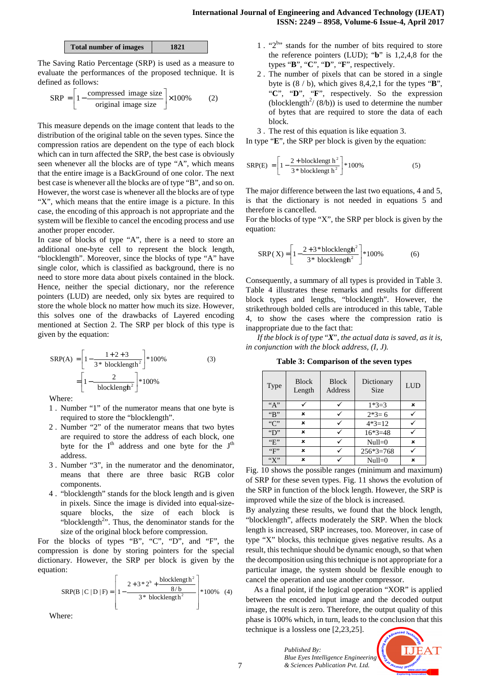| <b>Total number of images</b> | 1821 |
|-------------------------------|------|
|-------------------------------|------|

The Saving Ratio Percentage (SRP) is used as a measure to evaluate the performances of the proposed technique. It is defined as follows:

$$
SRP = \left[1 - \frac{\text{compressed image size}}{\text{original image size}}\right] \times 100\% \tag{2}
$$

This measure depends on the image content that leads to the distribution of the original table on the seven types. Since the compression ratios are dependent on the type of each block which can in turn affected the SRP, the best case is obviously seen whenever all the blocks are of type "A", which means that the entire image is a BackGround of one color. The next best case is whenever all the blocks are of type "B", and so on. However, the worst case is whenever all the blocks are of type "X", which means that the entire image is a picture. In this case, the encoding of this approach is not appropriate and the system will be flexible to cancel the encoding process and use another proper encoder.

In case of blocks of type "A", there is a need to store an additional one-byte cell to represent the block length, "blocklength". Moreover, since the blocks of type "A" have single color, which is classified as background, there is no need to store more data about pixels contained in the block. Hence, neither the special dictionary, nor the reference pointers (LUD) are needed, only six bytes are required to store the whole block no matter how much its size. However, this solves one of the drawbacks of Layered encoding mentioned at Section 2. The SRP per block of this type is given by the equation:

$$
SRP(A) = \left[1 - \frac{1 + 2 + 3}{3 * \text{ blocklength}^2}\right] * 100\%
$$
 (3)  
= 
$$
\left[1 - \frac{2}{\text{blocklength}^2}\right] * 100\%
$$

Where:

- 1 . Number "1" of the numerator means that one byte is required to store the "blocklength".
- 2 . Number "2" of the numerator means that two bytes are required to store the address of each block, one byte for the  $I<sup>th</sup>$  address and one byte for the  $J<sup>th</sup>$ address.
- 3 . Number "3", in the numerator and the denominator, means that there are three basic RGB color components.
- 4 . "blocklength" stands for the block length and is given in pixels. Since the image is divided into equal-sizesquare blocks, the size of each block is "blocklength<sup>2</sup>". Thus, the denominator stands for the size of the original block before compression.

For the blocks of types "B", "C", "D", and "F", the compression is done by storing pointers for the special dictionary. However, the SRP per block is given by the equation:

$$
SRP(B | C | D | F) = \left[1 - \frac{2 + 3 * 2^{b} + \frac{block{bcklength}^{2}}{8/b}}{3 * blocklength^{2}}\right] * 100\% \quad (4)
$$

Where:

- 1. "2<sup>b</sup>" stands for the number of bits required to store the reference pointers (LUD); "**b**" is 1,2,4,8 for the types "**B**", "**C**", "**D**", "**F**", respectively.
- 2 . The number of pixels that can be stored in a single byte is (8 / b), which gives 8,4,2,1 for the types "**B**", "**C**", "**D**", "**F**", respectively. So the expression (blocklength<sup>2</sup>/ $(8/b)$ ) is used to determine the number of bytes that are required to store the data of each block.
- 3 . The rest of this equation is like equation 3.

In type "**E**", the SRP per block is given by the equation:

$$
SRP(E) = \left[1 - \frac{2 + \text{blocklength}}{3 * \text{blocklength}}\right]^2 \text{ * } 100\%
$$
 (5)

The major difference between the last two equations, 4 and 5, is that the dictionary is not needed in equations 5 and therefore is cancelled.

For the blocks of type "X", the SRP per block is given by the equation:

$$
SRP(X) = \left[1 - \frac{2 + 3 \times \text{blocklength}^2}{3 \times \text{blocklength}^2}\right] \times 100\% \tag{6}
$$

Consequently, a summary of all types is provided in Table 3. Table 4 illustrates these remarks and results for different block types and lengths, "blocklength". However, the strikethrough bolded cells are introduced in this table, Table 4, to show the cases where the compression ratio is inappropriate due to the fact that:

*If the block is of type* "*X*"*, the actual data is saved, as it is, in conjunction with the block address, (I, J).* 

**Table 3: Comparison of the seven types** 

| Type             | <b>Block</b><br>Length | <b>Block</b><br>Address | Dictionary<br><b>Size</b> | <b>LUD</b> |
|------------------|------------------------|-------------------------|---------------------------|------------|
| $A$ "            |                        |                         | $1*3=3$                   | ×          |
| $B$ "            | ×                      |                         | $2*3=6$                   |            |
| ``C"             | ×                      |                         | $4*3=12$                  |            |
| $\mathbf{``D''}$ | ×                      |                         | $16*3=48$                 |            |
| "F"              | ×                      |                         | $Null=0$                  | ×          |
| "F"              | ×                      |                         | $256*3=768$               |            |
| ``X"             | ×                      |                         | $Null=0$                  | ×          |

Fig. 10 shows the possible ranges (minimum and maximum) of SRP for these seven types. Fig. 11 shows the evolution of the SRP in function of the block length. However, the SRP is improved while the size of the block is increased.

By analyzing these results, we found that the block length, "blocklength", affects moderately the SRP. When the block length is increased, SRP increases, too. Moreover, in case of type "X" blocks, this technique gives negative results. As a result, this technique should be dynamic enough, so that when the decomposition using this technique is not appropriate for a particular image, the system should be flexible enough to cancel the operation and use another compressor.

As a final point, if the logical operation "XOR" is applied between the encoded input image and the decoded output image, the result is zero. Therefore, the output quality of this phase is 100% which, in turn, leads to the conclusion that this technique is a lossless one [2,23,25].

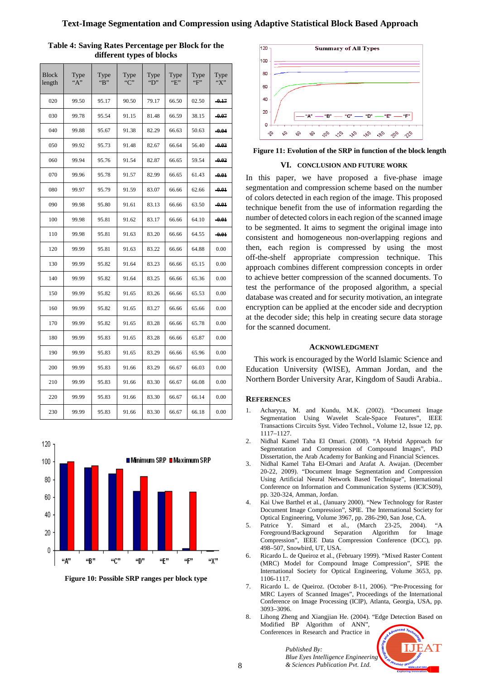#### **Text-Image Segmentation and Compression using Adaptive Statistical Block Based Approach**

| <b>Block</b><br>length | Type<br>$A$ " | Type<br>"B" | Type<br>``C" | Type<br>"D" | Type<br>"F" | Type<br>$\lq \lq F$ | Type<br>"X" |
|------------------------|---------------|-------------|--------------|-------------|-------------|---------------------|-------------|
| 020                    | 99.50         | 95.17       | 90.50        | 79.17       | 66.50       | 02.50               | $-0.17$     |
| 030                    | 99.78         | 95.54       | 91.15        | 81.48       | 66.59       | 38.15               | $-0.07$     |
| 040                    | 99.88         | 95.67       | 91.38        | 82.29       | 66.63       | 50.63               | $-0.04$     |
| 050                    | 99.92         | 95.73       | 91.48        | 82.67       | 66.64       | 56.40               | $-0.03$     |
| 060                    | 99.94         | 95.76       | 91.54        | 82.87       | 66.65       | 59.54               | $-0.02$     |
| 070                    | 99.96         | 95.78       | 91.57        | 82.99       | 66.65       | 61.43               | $-0.01$     |
| 080                    | 99.97         | 95.79       | 91.59        | 83.07       | 66.66       | 62.66               | $-0.01$     |
| 090                    | 99.98         | 95.80       | 91.61        | 83.13       | 66.66       | 63.50               | $-0.01$     |
| 100                    | 99.98         | 95.81       | 91.62        | 83.17       | 66.66       | 64.10               | $-0.01$     |
| 110                    | 99.98         | 95.81       | 91.63        | 83.20       | 66.66       | 64.55               | $-0.01$     |
| 120                    | 99.99         | 95.81       | 91.63        | 83.22       | 66.66       | 64.88               | 0.00        |
| 130                    | 99.99         | 95.82       | 91.64        | 83.23       | 66.66       | 65.15               | 0.00        |
| 140                    | 99.99         | 95.82       | 91.64        | 83.25       | 66.66       | 65.36               | 0.00        |
| 150                    | 99.99         | 95.82       | 91.65        | 83.26       | 66.66       | 65.53               | 0.00        |
| 160                    | 99.99         | 95.82       | 91.65        | 83.27       | 66.66       | 65.66               | 0.00        |
| 170                    | 99.99         | 95.82       | 91.65        | 83.28       | 66.66       | 65.78               | 0.00        |
| 180                    | 99.99         | 95.83       | 91.65        | 83.28       | 66.66       | 65.87               | 0.00        |
| 190                    | 99.99         | 95.83       | 91.65        | 83.29       | 66.66       | 65.96               | 0.00        |
| 200                    | 99.99         | 95.83       | 91.66        | 83.29       | 66.67       | 66.03               | 0.00        |
| 210                    | 99.99         | 95.83       | 91.66        | 83.30       | 66.67       | 66.08               | 0.00        |
| 220                    | 99.99         | 95.83       | 91.66        | 83.30       | 66.67       | 66.14               | 0.00        |
| 230                    | 99.99         | 95.83       | 91.66        | 83.30       | 66.67       | 66.18               | 0.00        |

**Table 4: Saving Rates Percentage per Block for the different types of blocks** 



**Figure 10: Possible SRP ranges per block type** 



**Figure 11: Evolution of the SRP in function of the block length** 

#### **VI. CONCLUSION AND FUTURE WORK**

In this paper, we have proposed a five-phase image segmentation and compression scheme based on the number of colors detected in each region of the image. This proposed technique benefit from the use of information regarding the number of detected colors in each region of the scanned image to be segmented. It aims to segment the original image into consistent and homogeneous non-overlapping regions and then, each region is compressed by using the most off-the-shelf appropriate compression technique. This approach combines different compression concepts in order to achieve better compression of the scanned documents. To test the performance of the proposed algorithm, a special database was created and for security motivation, an integrate encryption can be applied at the encoder side and decryption at the decoder side; this help in creating secure data storage for the scanned document.

#### **ACKNOWLEDGMENT**

This work is encouraged by the World Islamic Science and Education University (WISE), Amman Jordan, and the Northern Border University Arar, Kingdom of Saudi Arabia..

#### **REFERENCES**

- 1. Acharyya, M. and Kundu, M.K. (2002). "Document Image Segmentation Using Wavelet Scale-Space Features", IEEE Transactions Circuits Syst. Video Technol., Volume 12, Issue 12, pp. 1117–1127.
- 2. Nidhal Kamel Taha El Omari. (2008). "A Hybrid Approach for Segmentation and Compression of Compound Images", PhD Dissertation, the Arab Academy for Banking and Financial Sciences.
- 3. Nidhal Kamel Taha El-Omari and Arafat A. Awajan. (December 20-22, 2009). "Document Image Segmentation and Compression Using Artificial Neural Network Based Technique", International Conference on Information and Communication Systems (ICICS09), pp. 320-324, Amman, Jordan.
- 4. Kai Uwe Barthel et al., (January 2000). "New Technology for Raster Document Image Compression", SPIE. The International Society for Optical Engineering, Volume 3967, pp. 286-290, San Jose, CA.
- 5. Patrice Y. Simard et al., (March 23-25, 2004). "A Foreground/Background Separation Algorithm for Image Compression", IEEE Data Compression Conference (DCC), pp. 498–507, Snowbird, UT, USA.
- 6. Ricardo L. de Queiroz et al., (February 1999). "Mixed Raster Content (MRC) Model for Compound Image Compression", SPIE the International Society for Optical Engineering, Volume 3653, pp. 1106-1117.
- 7. Ricardo L. de Queiroz. (October 8-11, 2006). "Pre-Processing for MRC Layers of Scanned Images", Proceedings of the International Conference on Image Processing (ICIP), Atlanta, Georgia, USA, pp. 3093–3096.
- 8. Lihong Zheng and Xiangjian He. (2004). "Edge Detection Based on Modified BP Algorithm of ANN", Conferences in Research and Practice in

*& Sciences Publication Pvt. Ltd.* 

*Published By:*